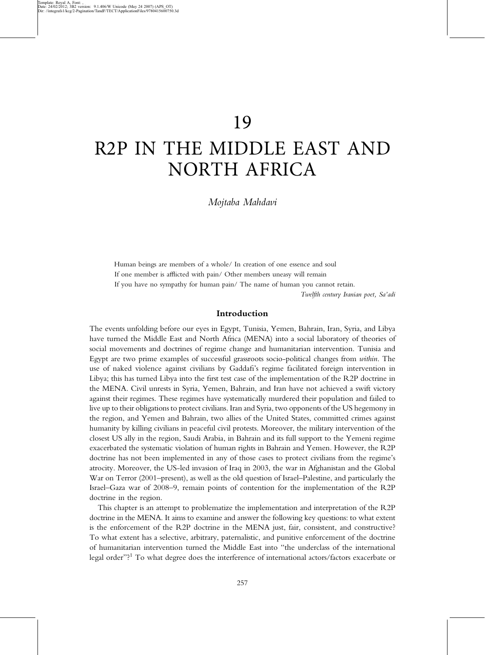# 19

# R2P IN THE MIDDLE EAST AND NORTH AFRICA

# Mojtaba Mahdavi

Human beings are members of a whole/ In creation of one essence and soul If one member is afflicted with pain/ Other members uneasy will remain If you have no sympathy for human pain/ The name of human you cannot retain. Twelfth century Iranian poet, Sa'adi

#### Introduction

The events unfolding before our eyes in Egypt, Tunisia, Yemen, Bahrain, Iran, Syria, and Libya have turned the Middle East and North Africa (MENA) into a social laboratory of theories of social movements and doctrines of regime change and humanitarian intervention. Tunisia and Egypt are two prime examples of successful grassroots socio-political changes from within. The use of naked violence against civilians by Gaddafi's regime facilitated foreign intervention in Libya; this has turned Libya into the first test case of the implementation of the R2P doctrine in the MENA. Civil unrests in Syria, Yemen, Bahrain, and Iran have not achieved a swift victory against their regimes. These regimes have systematically murdered their population and failed to live up to their obligations to protect civilians. Iran and Syria, two opponents of the US hegemony in the region, and Yemen and Bahrain, two allies of the United States, committed crimes against humanity by killing civilians in peaceful civil protests. Moreover, the military intervention of the closest US ally in the region, Saudi Arabia, in Bahrain and its full support to the Yemeni regime exacerbated the systematic violation of human rights in Bahrain and Yemen. However, the R2P doctrine has not been implemented in any of those cases to protect civilians from the regime's atrocity. Moreover, the US-led invasion of Iraq in 2003, the war in Afghanistan and the Global War on Terror (2001–present), as well as the old question of Israel–Palestine, and particularly the Israel–Gaza war of 2008–9, remain points of contention for the implementation of the R2P doctrine in the region.

This chapter is an attempt to problematize the implementation and interpretation of the R2P doctrine in the MENA. It aims to examine and answer the following key questions: to what extent is the enforcement of the R2P doctrine in the MENA just, fair, consistent, and constructive? To what extent has a selective, arbitrary, paternalistic, and punitive enforcement of the doctrine of humanitarian intervention turned the Middle East into "the underclass of the international legal order"? <sup>1</sup> To what degree does the interference of international actors/factors exacerbate or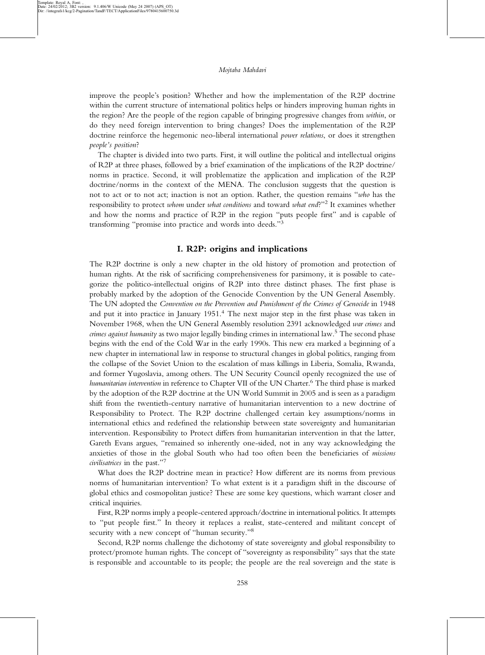improve the people's position? Whether and how the implementation of the R2P doctrine within the current structure of international politics helps or hinders improving human rights in the region? Are the people of the region capable of bringing progressive changes from within, or do they need foreign intervention to bring changes? Does the implementation of the R2P doctrine reinforce the hegemonic neo-liberal international power relations, or does it strengthen people's position?

The chapter is divided into two parts. First, it will outline the political and intellectual origins of R2P at three phases, followed by a brief examination of the implications of the R2P doctrine/ norms in practice. Second, it will problematize the application and implication of the R2P doctrine/norms in the context of the MENA. The conclusion suggests that the question is not to act or to not act; inaction is not an option. Rather, the question remains "who has the responsibility to protect whom under what conditions and toward what end?"<sup>2</sup> It examines whether and how the norms and practice of R2P in the region "puts people first" and is capable of transforming "promise into practice and words into deeds."<sup>3</sup>

#### I. R2P: origins and implications

The R2P doctrine is only a new chapter in the old history of promotion and protection of human rights. At the risk of sacrificing comprehensiveness for parsimony, it is possible to categorize the politico-intellectual origins of R2P into three distinct phases. The first phase is probably marked by the adoption of the Genocide Convention by the UN General Assembly. The UN adopted the Convention on the Prevention and Punishment of the Crimes of Genocide in 1948 and put it into practice in January 1951.4 The next major step in the first phase was taken in November 1968, when the UN General Assembly resolution 2391 acknowledged war crimes and crimes against humanity as two major legally binding crimes in international law.<sup>5</sup> The second phase begins with the end of the Cold War in the early 1990s. This new era marked a beginning of a new chapter in international law in response to structural changes in global politics, ranging from the collapse of the Soviet Union to the escalation of mass killings in Liberia, Somalia, Rwanda, and former Yugoslavia, among others. The UN Security Council openly recognized the use of humanitarian intervention in reference to Chapter VII of the UN Charter.<sup>6</sup> The third phase is marked by the adoption of the R2P doctrine at the UN World Summit in 2005 and is seen as a paradigm shift from the twentieth-century narrative of humanitarian intervention to a new doctrine of Responsibility to Protect. The R2P doctrine challenged certain key assumptions/norms in international ethics and redefined the relationship between state sovereignty and humanitarian intervention. Responsibility to Protect differs from humanitarian intervention in that the latter, Gareth Evans argues, "remained so inherently one-sided, not in any way acknowledging the anxieties of those in the global South who had too often been the beneficiaries of missions civilisatrices in the past."<sup>7</sup>

What does the R2P doctrine mean in practice? How different are its norms from previous norms of humanitarian intervention? To what extent is it a paradigm shift in the discourse of global ethics and cosmopolitan justice? These are some key questions, which warrant closer and critical inquiries.

First, R2P norms imply a people-centered approach/doctrine in international politics. It attempts to "put people first." In theory it replaces a realist, state-centered and militant concept of security with a new concept of "human security."<sup>8</sup>

Second, R2P norms challenge the dichotomy of state sovereignty and global responsibility to protect/promote human rights. The concept of "sovereignty as responsibility" says that the state is responsible and accountable to its people; the people are the real sovereign and the state is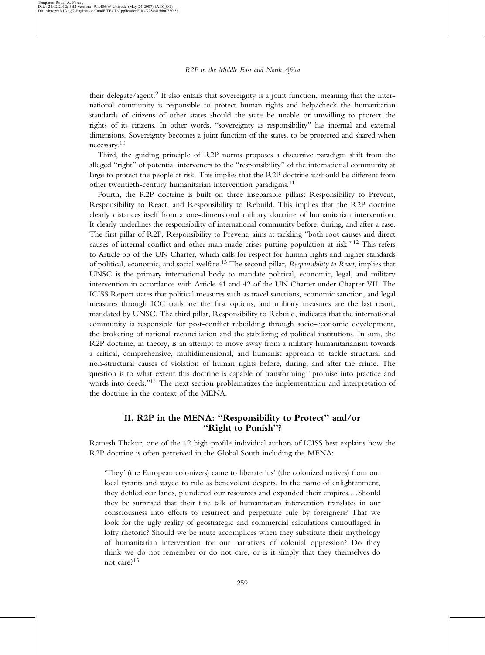Template: Royal A, Font: ,<br>Date: 24/02/2012; 3B2 version: 9.1.406/W Unicode (May 24 2007) (APS\_OT)<br>Dir: //integrafs1/kcg/2-Pagination/TandF/TECT/ApplicationFiles/9780415600750.3d

their delegate/agent.<sup>9</sup> It also entails that sovereignty is a joint function, meaning that the international community is responsible to protect human rights and help/check the humanitarian standards of citizens of other states should the state be unable or unwilling to protect the rights of its citizens. In other words, "sovereignty as responsibility" has internal and external dimensions. Sovereignty becomes a joint function of the states, to be protected and shared when necessary.10

Third, the guiding principle of R2P norms proposes a discursive paradigm shift from the alleged "right" of potential interveners to the "responsibility" of the international community at large to protect the people at risk. This implies that the R2P doctrine is/should be different from other twentieth-century humanitarian intervention paradigms.<sup>11</sup>

Fourth, the R2P doctrine is built on three inseparable pillars: Responsibility to Prevent, Responsibility to React, and Responsibility to Rebuild. This implies that the R2P doctrine clearly distances itself from a one-dimensional military doctrine of humanitarian intervention. It clearly underlines the responsibility of international community before, during, and after a case. The first pillar of R2P, Responsibility to Prevent, aims at tackling "both root causes and direct causes of internal conflict and other man-made crises putting population at risk."<sup>12</sup> This refers to Article 55 of the UN Charter, which calls for respect for human rights and higher standards of political, economic, and social welfare.<sup>13</sup> The second pillar, Responsibility to React, implies that UNSC is the primary international body to mandate political, economic, legal, and military intervention in accordance with Article 41 and 42 of the UN Charter under Chapter VII. The ICISS Report states that political measures such as travel sanctions, economic sanction, and legal measures through ICC trails are the first options, and military measures are the last resort, mandated by UNSC. The third pillar, Responsibility to Rebuild, indicates that the international community is responsible for post-conflict rebuilding through socio-economic development, the brokering of national reconciliation and the stabilizing of political institutions. In sum, the R2P doctrine, in theory, is an attempt to move away from a military humanitarianism towards a critical, comprehensive, multidimensional, and humanist approach to tackle structural and non-structural causes of violation of human rights before, during, and after the crime. The question is to what extent this doctrine is capable of transforming "promise into practice and words into deeds."<sup>14</sup> The next section problematizes the implementation and interpretation of the doctrine in the context of the MENA.

# II. R2P in the MENA: "Responsibility to Protect" and/or "Right to Punish"?

Ramesh Thakur, one of the 12 high-profile individual authors of ICISS best explains how the R2P doctrine is often perceived in the Global South including the MENA:

'They' (the European colonizers) came to liberate 'us' (the colonized natives) from our local tyrants and stayed to rule as benevolent despots. In the name of enlightenment, they defiled our lands, plundered our resources and expanded their empires.…Should they be surprised that their fine talk of humanitarian intervention translates in our consciousness into efforts to resurrect and perpetuate rule by foreigners? That we look for the ugly reality of geostrategic and commercial calculations camouflaged in lofty rhetoric? Should we be mute accomplices when they substitute their mythology of humanitarian intervention for our narratives of colonial oppression? Do they think we do not remember or do not care, or is it simply that they themselves do not care?<sup>15</sup>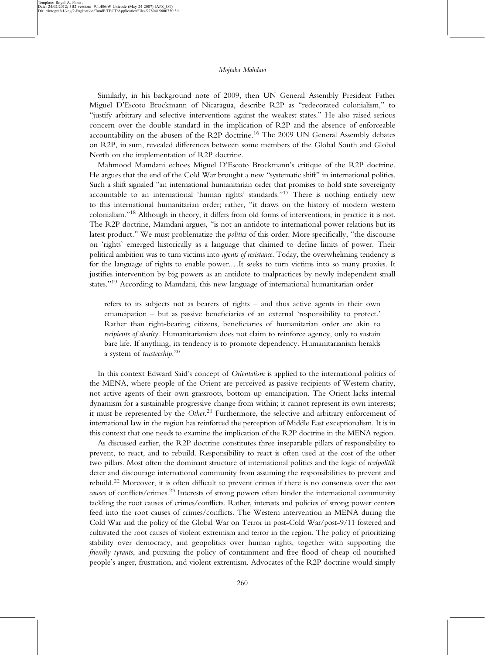Template: Royal A, Font: ,<br>Date: 24/02/2012; 3B2 version: 9.1.406/W Unicode (May 24 2007) (APS\_OT)<br>Dir: //integrafs1/kcg/2-Pagination/TandF/TECT/ApplicationFiles/9780415600750.3d

Similarly, in his background note of 2009, then UN General Assembly President Father Miguel D'Escoto Brockmann of Nicaragua, describe R2P as "redecorated colonialism," to "justify arbitrary and selective interventions against the weakest states." He also raised serious concern over the double standard in the implication of R2P and the absence of enforceable accountability on the abusers of the R2P doctrine.<sup>16</sup> The 2009 UN General Assembly debates on R2P, in sum, revealed differences between some members of the Global South and Global North on the implementation of R2P doctrine.

Mahmood Mamdani echoes Miguel D'Escoto Brockmann's critique of the R2P doctrine. He argues that the end of the Cold War brought a new "systematic shift" in international politics. Such a shift signaled "an international humanitarian order that promises to hold state sovereignty accountable to an international 'human rights' standards."<sup>17</sup> There is nothing entirely new to this international humanitarian order; rather, "it draws on the history of modern western colonialism."<sup>18</sup> Although in theory, it differs from old forms of interventions, in practice it is not. The R2P doctrine, Mamdani argues, "is not an antidote to international power relations but its latest product." We must problematize the *politics* of this order. More specifically, "the discourse on 'rights' emerged historically as a language that claimed to define limits of power. Their political ambition was to turn victims into *agents of resistance*. Today, the overwhelming tendency is for the language of rights to enable power.…It seeks to turn victims into so many proxies. It justifies intervention by big powers as an antidote to malpractices by newly independent small states."<sup>19</sup> According to Mamdani, this new language of international humanitarian order

refers to its subjects not as bearers of rights – and thus active agents in their own emancipation – but as passive beneficiaries of an external 'responsibility to protect.' Rather than right-bearing citizens, beneficiaries of humanitarian order are akin to recipients of charity. Humanitarianism does not claim to reinforce agency, only to sustain bare life. If anything, its tendency is to promote dependency. Humanitarianism heralds a system of *trusteeship*.<sup>20</sup>

In this context Edward Said's concept of Orientalism is applied to the international politics of the MENA, where people of the Orient are perceived as passive recipients of Western charity, not active agents of their own grassroots, bottom-up emancipation. The Orient lacks internal dynamism for a sustainable progressive change from within; it cannot represent its own interests; it must be represented by the Other.<sup>21</sup> Furthermore, the selective and arbitrary enforcement of international law in the region has reinforced the perception of Middle East exceptionalism. It is in this context that one needs to examine the implication of the R2P doctrine in the MENA region.

As discussed earlier, the R2P doctrine constitutes three inseparable pillars of responsibility to prevent, to react, and to rebuild. Responsibility to react is often used at the cost of the other two pillars. Most often the dominant structure of international politics and the logic of realpolitik deter and discourage international community from assuming the responsibilities to prevent and rebuild.22 Moreover, it is often difficult to prevent crimes if there is no consensus over the root causes of conflicts/crimes.<sup>23</sup> Interests of strong powers often hinder the international community tackling the root causes of crimes/conflicts. Rather, interests and policies of strong power centers feed into the root causes of crimes/conflicts. The Western intervention in MENA during the Cold War and the policy of the Global War on Terror in post-Cold War/post-9/11 fostered and cultivated the root causes of violent extremism and terror in the region. The policy of prioritizing stability over democracy, and geopolitics over human rights, together with supporting the friendly tyrants, and pursuing the policy of containment and free flood of cheap oil nourished people's anger, frustration, and violent extremism. Advocates of the R2P doctrine would simply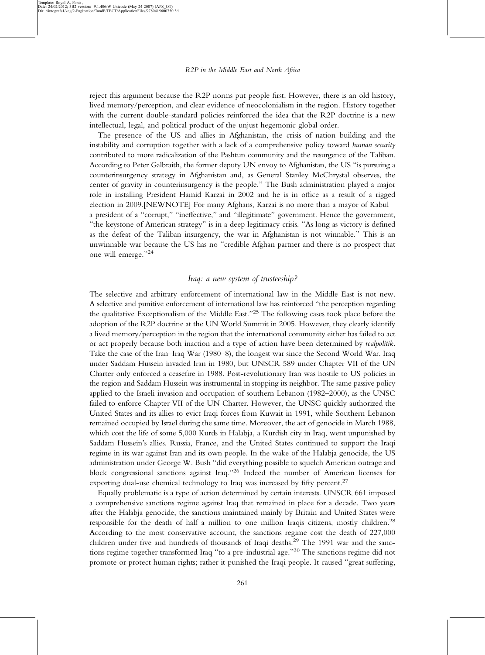reject this argument because the R2P norms put people first. However, there is an old history, lived memory/perception, and clear evidence of neocolonialism in the region. History together with the current double-standard policies reinforced the idea that the R2P doctrine is a new intellectual, legal, and political product of the unjust hegemonic global order.

The presence of the US and allies in Afghanistan, the crisis of nation building and the instability and corruption together with a lack of a comprehensive policy toward human security contributed to more radicalization of the Pashtun community and the resurgence of the Taliban. According to Peter Galbraith, the former deputy UN envoy to Afghanistan, the US "is pursuing a counterinsurgency strategy in Afghanistan and, as General Stanley McChrystal observes, the center of gravity in counterinsurgency is the people." The Bush administration played a major role in installing President Hamid Karzai in 2002 and he is in office as a result of a rigged election in 2009.[NEWNOTE] For many Afghans, Karzai is no more than a mayor of Kabul – a president of a "corrupt," "ineffective," and "illegitimate" government. Hence the government, "the keystone of American strategy" is in a deep legitimacy crisis. "As long as victory is defined as the defeat of the Taliban insurgency, the war in Afghanistan is not winnable." This is an unwinnable war because the US has no "credible Afghan partner and there is no prospect that one will emerge."<sup>24</sup>

#### Iraq: a new system of trusteeship?

The selective and arbitrary enforcement of international law in the Middle East is not new. A selective and punitive enforcement of international law has reinforced "the perception regarding the qualitative Exceptionalism of the Middle East."<sup>25</sup> The following cases took place before the adoption of the R2P doctrine at the UN World Summit in 2005. However, they clearly identify a lived memory/perception in the region that the international community either has failed to act or act properly because both inaction and a type of action have been determined by realpolitik. Take the case of the Iran–Iraq War (1980–8), the longest war since the Second World War. Iraq under Saddam Hussein invaded Iran in 1980, but UNSCR 589 under Chapter VII of the UN Charter only enforced a ceasefire in 1988. Post-revolutionary Iran was hostile to US policies in the region and Saddam Hussein was instrumental in stopping its neighbor. The same passive policy applied to the Israeli invasion and occupation of southern Lebanon (1982–2000), as the UNSC failed to enforce Chapter VII of the UN Charter. However, the UNSC quickly authorized the United States and its allies to evict Iraqi forces from Kuwait in 1991, while Southern Lebanon remained occupied by Israel during the same time. Moreover, the act of genocide in March 1988, which cost the life of some 5,000 Kurds in Halabja, a Kurdish city in Iraq, went unpunished by Saddam Hussein's allies. Russia, France, and the United States continued to support the Iraqi regime in its war against Iran and its own people. In the wake of the Halabja genocide, the US administration under George W. Bush "did everything possible to squelch American outrage and block congressional sanctions against Iraq."<sup>26</sup> Indeed the number of American licenses for exporting dual-use chemical technology to Iraq was increased by fifty percent.<sup>27</sup>

Equally problematic is a type of action determined by certain interests. UNSCR 661 imposed a comprehensive sanctions regime against Iraq that remained in place for a decade. Two years after the Halabja genocide, the sanctions maintained mainly by Britain and United States were responsible for the death of half a million to one million Iraqis citizens, mostly children.<sup>28</sup> According to the most conservative account, the sanctions regime cost the death of 227,000 children under five and hundreds of thousands of Iraqi deaths.<sup>29</sup> The 1991 war and the sanctions regime together transformed Iraq "to a pre-industrial age."<sup>30</sup> The sanctions regime did not promote or protect human rights; rather it punished the Iraqi people. It caused "great suffering,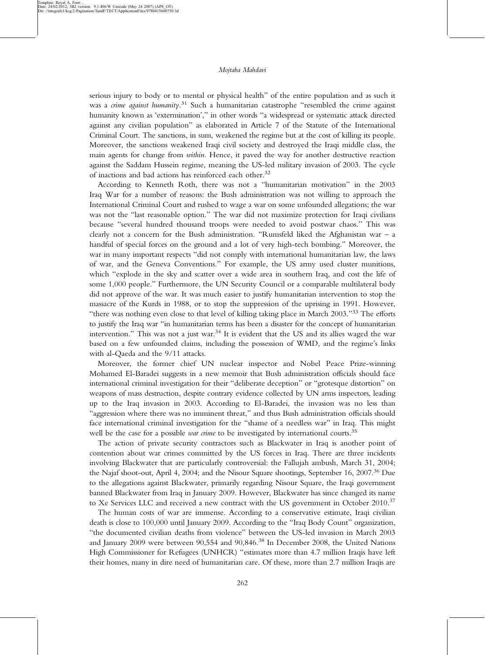Template: Royal A, Font: ,<br>Date: 24/02/2012; 3B2 version: 9.1.406/W Unicode (May 24 2007) (APS\_OT)<br>Dir: //integrafs1/kcg/2-Pagination/TandF/TECT/ApplicationFiles/9780415600750.3d

serious injury to body or to mental or physical health" of the entire population and as such it was a crime against humanity.<sup>31</sup> Such a humanitarian catastrophe "resembled the crime against humanity known as 'extermination'," in other words "a widespread or systematic attack directed against any civilian population" as elaborated in Article 7 of the Statute of the International Criminal Court. The sanctions, in sum, weakened the regime but at the cost of killing its people. Moreover, the sanctions weakened Iraqi civil society and destroyed the Iraqi middle class, the main agents for change from within. Hence, it paved the way for another destructive reaction against the Saddam Hussein regime, meaning the US-led military invasion of 2003. The cycle of inactions and bad actions has reinforced each other.<sup>32</sup>

According to Kenneth Roth, there was not a "humanitarian motivation" in the 2003 Iraq War for a number of reasons: the Bush administration was not willing to approach the International Criminal Court and rushed to wage a war on some unfounded allegations; the war was not the "last reasonable option." The war did not maximize protection for Iraqi civilians because "several hundred thousand troops were needed to avoid postwar chaos." This was clearly not a concern for the Bush administration. "Rumsfeld liked the Afghanistan war – a handful of special forces on the ground and a lot of very high-tech bombing." Moreover, the war in many important respects "did not comply with international humanitarian law, the laws of war, and the Geneva Conventions." For example, the US army used cluster munitions, which "explode in the sky and scatter over a wide area in southern Iraq, and cost the life of some 1,000 people." Furthermore, the UN Security Council or a comparable multilateral body did not approve of the war. It was much easier to justify humanitarian intervention to stop the massacre of the Kurds in 1988, or to stop the suppression of the uprising in 1991. However, "there was nothing even close to that level of killing taking place in March 2003."<sup>33</sup> The efforts to justify the Iraq war "in humanitarian terms has been a disaster for the concept of humanitarian intervention." This was not a just war. $34$  It is evident that the US and its allies waged the war based on a few unfounded claims, including the possession of WMD, and the regime's links with al-Qaeda and the 9/11 attacks.

Moreover, the former chief UN nuclear inspector and Nobel Peace Prize-winning Mohamed El-Baradei suggests in a new memoir that Bush administration officials should face international criminal investigation for their "deliberate deception" or "grotesque distortion" on weapons of mass destruction, despite contrary evidence collected by UN arms inspectors, leading up to the Iraq invasion in 2003. According to El-Baradei, the invasion was no less than "aggression where there was no imminent threat," and thus Bush administration officials should face international criminal investigation for the "shame of a needless war" in Iraq. This might well be the case for a possible *war crime* to be investigated by international courts.<sup>35</sup>

The action of private security contractors such as Blackwater in Iraq is another point of contention about war crimes committed by the US forces in Iraq. There are three incidents involving Blackwater that are particularly controversial: the Fallujah ambush, March 31, 2004; the Najaf shoot-out, April 4, 2004; and the Nisour Square shootings, September 16, 2007.36 Due to the allegations against Blackwater, primarily regarding Nisour Square, the Iraqi government banned Blackwater from Iraq in January 2009. However, Blackwater has since changed its name to Xe Services LLC and received a new contract with the US government in October 2010.<sup>37</sup>

The human costs of war are immense. According to a conservative estimate, Iraqi civilian death is close to 100,000 until January 2009. According to the "Iraq Body Count" organization, "the documented civilian deaths from violence" between the US-led invasion in March 2003 and January 2009 were between 90,554 and 90,846.<sup>38</sup> In December 2008, the United Nations High Commissioner for Refugees (UNHCR) "estimates more than 4.7 million Iraqis have left their homes, many in dire need of humanitarian care. Of these, more than 2.7 million Iraqis are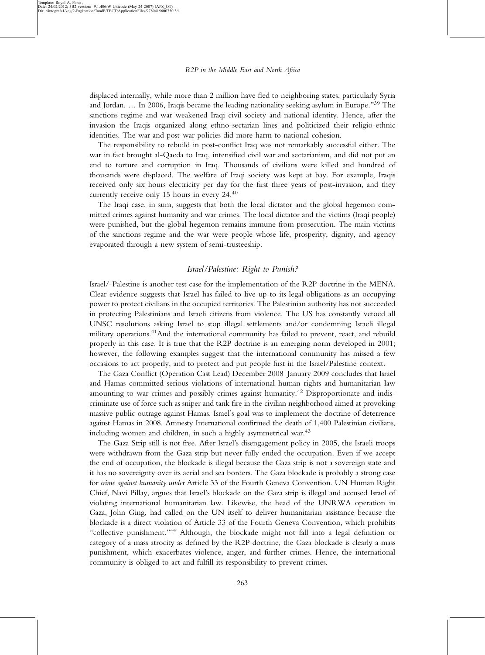Template: Royal A, Font: ,<br>Date: 24/02/2012; 3B2 version: 9.1.406/W Unicode (May 24 2007) (APS\_OT)<br>Dir: //integrafs1/kcg/2-Pagination/TandF/TECT/ApplicationFiles/9780415600750.3d

displaced internally, while more than 2 million have fled to neighboring states, particularly Syria and Jordan. … In 2006, Iraqis became the leading nationality seeking asylum in Europe."<sup>39</sup> The sanctions regime and war weakened Iraqi civil society and national identity. Hence, after the invasion the Iraqis organized along ethno-sectarian lines and politicized their religio-ethnic identities. The war and post-war policies did more harm to national cohesion.

The responsibility to rebuild in post-conflict Iraq was not remarkably successful either. The war in fact brought al-Qaeda to Iraq, intensified civil war and sectarianism, and did not put an end to torture and corruption in Iraq. Thousands of civilians were killed and hundred of thousands were displaced. The welfare of Iraqi society was kept at bay. For example, Iraqis received only six hours electricity per day for the first three years of post-invasion, and they currently receive only 15 hours in every 24.<sup>40</sup>

The Iraqi case, in sum, suggests that both the local dictator and the global hegemon committed crimes against humanity and war crimes. The local dictator and the victims (Iraqi people) were punished, but the global hegemon remains immune from prosecution. The main victims of the sanctions regime and the war were people whose life, prosperity, dignity, and agency evaporated through a new system of semi-trusteeship.

# Israel/Palestine: Right to Punish?

Israel/-Palestine is another test case for the implementation of the R2P doctrine in the MENA. Clear evidence suggests that Israel has failed to live up to its legal obligations as an occupying power to protect civilians in the occupied territories. The Palestinian authority has not succeeded in protecting Palestinians and Israeli citizens from violence. The US has constantly vetoed all UNSC resolutions asking Israel to stop illegal settlements and/or condemning Israeli illegal military operations.<sup>41</sup>And the international community has failed to prevent, react, and rebuild properly in this case. It is true that the R2P doctrine is an emerging norm developed in 2001; however, the following examples suggest that the international community has missed a few occasions to act properly, and to protect and put people first in the Israel/Palestine context.

The Gaza Conflict (Operation Cast Lead) December 2008–January 2009 concludes that Israel and Hamas committed serious violations of international human rights and humanitarian law amounting to war crimes and possibly crimes against humanity.<sup>42</sup> Disproportionate and indiscriminate use of force such as sniper and tank fire in the civilian neighborhood aimed at provoking massive public outrage against Hamas. Israel's goal was to implement the doctrine of deterrence against Hamas in 2008. Amnesty International confirmed the death of 1,400 Palestinian civilians, including women and children, in such a highly asymmetrical war.<sup>43</sup>

The Gaza Strip still is not free. After Israel's disengagement policy in 2005, the Israeli troops were withdrawn from the Gaza strip but never fully ended the occupation. Even if we accept the end of occupation, the blockade is illegal because the Gaza strip is not a sovereign state and it has no sovereignty over its aerial and sea borders. The Gaza blockade is probably a strong case for crime against humanity under Article 33 of the Fourth Geneva Convention. UN Human Right Chief, Navi Pillay, argues that Israel's blockade on the Gaza strip is illegal and accused Israel of violating international humanitarian law. Likewise, the head of the UNRWA operation in Gaza, John Ging, had called on the UN itself to deliver humanitarian assistance because the blockade is a direct violation of Article 33 of the Fourth Geneva Convention, which prohibits "collective punishment."<sup>44</sup> Although, the blockade might not fall into a legal definition or category of a mass atrocity as defined by the R2P doctrine, the Gaza blockade is clearly a mass punishment, which exacerbates violence, anger, and further crimes. Hence, the international community is obliged to act and fulfill its responsibility to prevent crimes.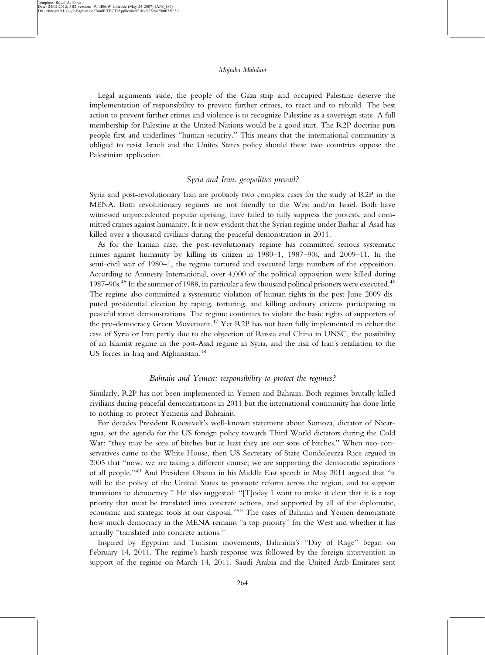Legal arguments aside, the people of the Gaza strip and occupied Palestine deserve the implementation of responsibility to prevent further crimes, to react and to rebuild. The best action to prevent further crimes and violence is to recognize Palestine as a sovereign state. A full membership for Palestine at the United Nations would be a good start. The R2P doctrine puts people first and underlines "human security." This means that the international community is obliged to resist Israeli and the Unites States policy should these two countries oppose the Palestinian application.

#### Syria and Iran: geopolitics prevail?

Syria and post-revolutionary Iran are probably two complex cases for the study of R2P in the MENA. Both revolutionary regimes are not friendly to the West and/or Israel. Both have witnessed unprecedented popular uprising, have failed to fully suppress the protests, and committed crimes against humanity. It is now evident that the Syrian regime under Bashar al-Asad has killed over a thousand civilians during the peaceful demonstration in 2011.

As for the Iranian case, the post-revolutionary regime has committed serious systematic crimes against humanity by killing its citizen in 1980–1, 1987–90s, and 2009–11. In the semi-civil war of 1980–1, the regime tortured and executed large numbers of the opposition. According to Amnesty International, over 4,000 of the political opposition were killed during 1987–90s.<sup>45</sup> In the summer of 1988, in particular a few thousand political prisoners were executed.<sup>46</sup> The regime also committed a systematic violation of human rights in the post-June 2009 disputed presidential election by raping, torturing, and killing ordinary citizens participating in peaceful street demonstrations. The regime continues to violate the basic rights of supporters of the pro-democracy Green Movement.<sup>47</sup> Yet R2P has not been fully implemented in either the case of Syria or Iran partly due to the objection of Russia and China in UNSC, the possibility of an Islamist regime in the post-Asad regime in Syria, and the risk of Iran's retaliation to the US forces in Iraq and Afghanistan.<sup>48</sup>

#### Bahrain and Yemen: responsibility to protect the regimes?

Similarly, R2P has not been implemented in Yemen and Bahrain. Both regimes brutally killed civilians during peaceful demonstrations in 2011 but the international community has done little to nothing to protect Yemenis and Bahrainis.

For decades President Roosevelt's well-known statement about Somoza, dictator of Nicaragua, set the agenda for the US foreign policy towards Third World dictators during the Cold War: "they may be sons of bitches but at least they are our sons of bitches." When neo-conservatives came to the White House, then US Secretary of State Condoleezza Rice argued in 2005 that "now, we are taking a different course; we are supporting the democratic aspirations of all people."<sup>49</sup> And President Obama in his Middle East speech in May 2011 argued that "it will be the policy of the United States to promote reform across the region, and to support transitions to democracy." He also suggested: "[T]oday I want to make it clear that it is a top priority that must be translated into concrete actions, and supported by all of the diplomatic, economic and strategic tools at our disposal."<sup>50</sup> The cases of Bahrain and Yemen demonstrate how much democracy in the MENA remains "a top priority" for the West and whether it has actually "translated into concrete actions."

Inspired by Egyptian and Tunisian movements, Bahrainis's "Day of Rage" began on February 14, 2011. The regime's harsh response was followed by the foreign intervention in support of the regime on March 14, 2011. Saudi Arabia and the United Arab Emirates sent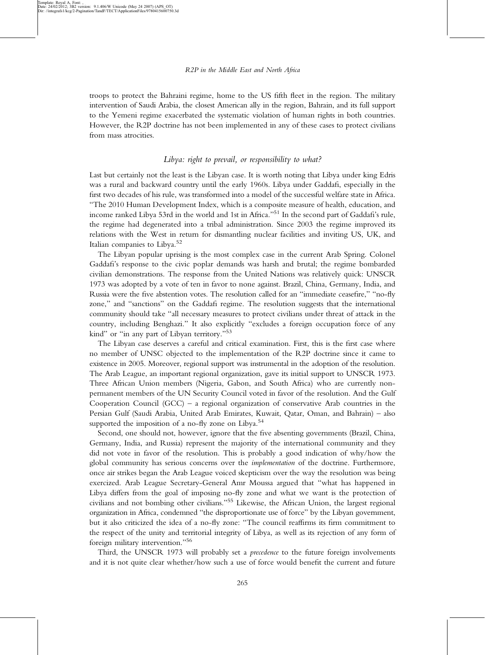troops to protect the Bahraini regime, home to the US fifth fleet in the region. The military intervention of Saudi Arabia, the closest American ally in the region, Bahrain, and its full support to the Yemeni regime exacerbated the systematic violation of human rights in both countries. However, the R2P doctrine has not been implemented in any of these cases to protect civilians from mass atrocities.

#### Libya: right to prevail, or responsibility to what?

Last but certainly not the least is the Libyan case. It is worth noting that Libya under king Edris was a rural and backward country until the early 1960s. Libya under Gaddafi, especially in the first two decades of his rule, was transformed into a model of the successful welfare state in Africa. "The 2010 Human Development Index, which is a composite measure of health, education, and income ranked Libya 53rd in the world and 1st in Africa."<sup>51</sup> In the second part of Gaddafi's rule, the regime had degenerated into a tribal administration. Since 2003 the regime improved its relations with the West in return for dismantling nuclear facilities and inviting US, UK, and Italian companies to Libya.<sup>52</sup>

The Libyan popular uprising is the most complex case in the current Arab Spring. Colonel Gaddafi's response to the civic poplar demands was harsh and brutal; the regime bombarded civilian demonstrations. The response from the United Nations was relatively quick: UNSCR 1973 was adopted by a vote of ten in favor to none against. Brazil, China, Germany, India, and Russia were the five abstention votes. The resolution called for an "immediate ceasefire," "no-fly zone," and "sanctions" on the Gaddafi regime. The resolution suggests that the international community should take "all necessary measures to protect civilians under threat of attack in the country, including Benghazi." It also explicitly "excludes a foreign occupation force of any kind" or "in any part of Libyan territory."<sup>53</sup>

The Libyan case deserves a careful and critical examination. First, this is the first case where no member of UNSC objected to the implementation of the R2P doctrine since it came to existence in 2005. Moreover, regional support was instrumental in the adoption of the resolution. The Arab League, an important regional organization, gave its initial support to UNSCR 1973. Three African Union members (Nigeria, Gabon, and South Africa) who are currently nonpermanent members of the UN Security Council voted in favor of the resolution. And the Gulf Cooperation Council (GCC) – a regional organization of conservative Arab countries in the Persian Gulf (Saudi Arabia, United Arab Emirates, Kuwait, Qatar, Oman, and Bahrain) – also supported the imposition of a no-fly zone on Libya.<sup>54</sup>

Second, one should not, however, ignore that the five absenting governments (Brazil, China, Germany, India, and Russia) represent the majority of the international community and they did not vote in favor of the resolution. This is probably a good indication of why/how the global community has serious concerns over the implementation of the doctrine. Furthermore, once air strikes began the Arab League voiced skepticism over the way the resolution was being exercized. Arab League Secretary-General Amr Moussa argued that "what has happened in Libya differs from the goal of imposing no-fly zone and what we want is the protection of civilians and not bombing other civilians."<sup>55</sup> Likewise, the African Union, the largest regional organization in Africa, condemned "the disproportionate use of force" by the Libyan government, but it also criticized the idea of a no-fly zone: "The council reaffirms its firm commitment to the respect of the unity and territorial integrity of Libya, as well as its rejection of any form of foreign military intervention."<sup>56</sup>

Third, the UNSCR 1973 will probably set a *precedence* to the future foreign involvements and it is not quite clear whether/how such a use of force would benefit the current and future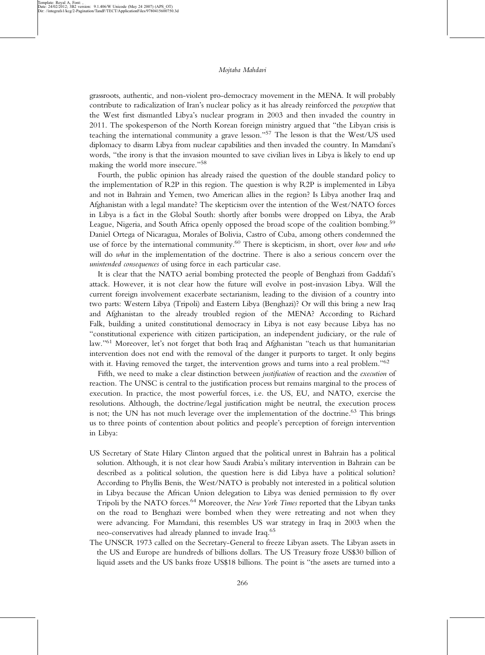Template: Royal A, Font: ,<br>Date: 24/02/2012; 3B2 version: 9.1.406/W Unicode (May 24 2007) (APS\_OT)<br>Dir: //integrafs1/kcg/2-Pagination/TandF/TECT/ApplicationFiles/9780415600750.3d

grassroots, authentic, and non-violent pro-democracy movement in the MENA. It will probably contribute to radicalization of Iran's nuclear policy as it has already reinforced the *perception* that the West first dismantled Libya's nuclear program in 2003 and then invaded the country in 2011. The spokesperson of the North Korean foreign ministry argued that "the Libyan crisis is teaching the international community a grave lesson."<sup>57</sup> The lesson is that the West/US used diplomacy to disarm Libya from nuclear capabilities and then invaded the country. In Mamdani's words, "the irony is that the invasion mounted to save civilian lives in Libya is likely to end up making the world more insecure."<sup>58</sup>

Fourth, the public opinion has already raised the question of the double standard policy to the implementation of R2P in this region. The question is why R2P is implemented in Libya and not in Bahrain and Yemen, two American allies in the region? Is Libya another Iraq and Afghanistan with a legal mandate? The skepticism over the intention of the West/NATO forces in Libya is a fact in the Global South: shortly after bombs were dropped on Libya, the Arab League, Nigeria, and South Africa openly opposed the broad scope of the coalition bombing.<sup>59</sup> Daniel Ortega of Nicaragua, Morales of Bolivia, Castro of Cuba, among others condemned the use of force by the international community.<sup>60</sup> There is skepticism, in short, over how and who will do what in the implementation of the doctrine. There is also a serious concern over the unintended consequences of using force in each particular case.

It is clear that the NATO aerial bombing protected the people of Benghazi from Gaddafi's attack. However, it is not clear how the future will evolve in post-invasion Libya. Will the current foreign involvement exacerbate sectarianism, leading to the division of a country into two parts: Western Libya (Tripoli) and Eastern Libya (Benghazi)? Or will this bring a new Iraq and Afghanistan to the already troubled region of the MENA? According to Richard Falk, building a united constitutional democracy in Libya is not easy because Libya has no "constitutional experience with citizen participation, an independent judiciary, or the rule of law."<sup>61</sup> Moreover, let's not forget that both Iraq and Afghanistan "teach us that humanitarian intervention does not end with the removal of the danger it purports to target. It only begins with it. Having removed the target, the intervention grows and turns into a real problem."<sup>62</sup>

Fifth, we need to make a clear distinction between justification of reaction and the execution of reaction. The UNSC is central to the justification process but remains marginal to the process of execution. In practice, the most powerful forces, i.e. the US, EU, and NATO, exercise the resolutions. Although, the doctrine/legal justification might be neutral, the execution process is not; the UN has not much leverage over the implementation of the doctrine.<sup>63</sup> This brings us to three points of contention about politics and people's perception of foreign intervention in Libya:

- US Secretary of State Hilary Clinton argued that the political unrest in Bahrain has a political solution. Although, it is not clear how Saudi Arabia's military intervention in Bahrain can be described as a political solution, the question here is did Libya have a political solution? According to Phyllis Benis, the West/NATO is probably not interested in a political solution in Libya because the African Union delegation to Libya was denied permission to fly over Tripoli by the NATO forces.<sup>64</sup> Moreover, the New York Times reported that the Libyan tanks on the road to Benghazi were bombed when they were retreating and not when they were advancing. For Mamdani, this resembles US war strategy in Iraq in 2003 when the neo-conservatives had already planned to invade Iraq.<sup>65</sup>
- The UNSCR 1973 called on the Secretary-General to freeze Libyan assets. The Libyan assets in the US and Europe are hundreds of billions dollars. The US Treasury froze US\$30 billion of liquid assets and the US banks froze US\$18 billions. The point is "the assets are turned into a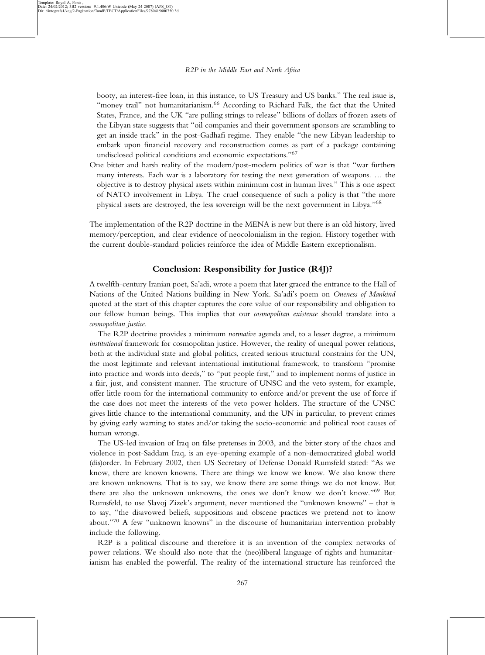booty, an interest-free loan, in this instance, to US Treasury and US banks." The real issue is, "money trail" not humanitarianism.<sup>66</sup> According to Richard Falk, the fact that the United States, France, and the UK "are pulling strings to release" billions of dollars of frozen assets of the Libyan state suggests that "oil companies and their government sponsors are scrambling to get an inside track" in the post-Gadhafi regime. They enable "the new Libyan leadership to embark upon financial recovery and reconstruction comes as part of a package containing undisclosed political conditions and economic expectations."<sup>67</sup>

One bitter and harsh reality of the modern/post-modern politics of war is that "war furthers many interests. Each war is a laboratory for testing the next generation of weapons. … the objective is to destroy physical assets within minimum cost in human lives." This is one aspect of NATO involvement in Libya. The cruel consequence of such a policy is that "the more physical assets are destroyed, the less sovereign will be the next government in Libya."<sup>68</sup>

The implementation of the R2P doctrine in the MENA is new but there is an old history, lived memory/perception, and clear evidence of neocolonialism in the region. History together with the current double-standard policies reinforce the idea of Middle Eastern exceptionalism.

## Conclusion: Responsibility for Justice (R4J)?

A twelfth-century Iranian poet, Sa'adi, wrote a poem that later graced the entrance to the Hall of Nations of the United Nations building in New York. Sa'adi's poem on Oneness of Mankind quoted at the start of this chapter captures the core value of our responsibility and obligation to our fellow human beings. This implies that our cosmopolitan existence should translate into a cosmopolitan justice.

The R2P doctrine provides a minimum *normative* agenda and, to a lesser degree, a minimum institutional framework for cosmopolitan justice. However, the reality of unequal power relations, both at the individual state and global politics, created serious structural constrains for the UN, the most legitimate and relevant international institutional framework, to transform "promise into practice and words into deeds," to "put people first," and to implement norms of justice in a fair, just, and consistent manner. The structure of UNSC and the veto system, for example, offer little room for the international community to enforce and/or prevent the use of force if the case does not meet the interests of the veto power holders. The structure of the UNSC gives little chance to the international community, and the UN in particular, to prevent crimes by giving early warning to states and/or taking the socio-economic and political root causes of human wrongs.

The US-led invasion of Iraq on false pretenses in 2003, and the bitter story of the chaos and violence in post-Saddam Iraq, is an eye-opening example of a non-democratized global world (dis)order. In February 2002, then US Secretary of Defense Donald Rumsfeld stated: "As we know, there are known knowns. There are things we know we know. We also know there are known unknowns. That is to say, we know there are some things we do not know. But there are also the unknown unknowns, the ones we don't know we don't know."<sup>69</sup> But Rumsfeld, to use Slavoj Zizek's argument, never mentioned the "unknown knowns" – that is to say, "the disavowed beliefs, suppositions and obscene practices we pretend not to know about."<sup>70</sup> A few "unknown knowns" in the discourse of humanitarian intervention probably include the following.

R2P is a political discourse and therefore it is an invention of the complex networks of power relations. We should also note that the (neo)liberal language of rights and humanitarianism has enabled the powerful. The reality of the international structure has reinforced the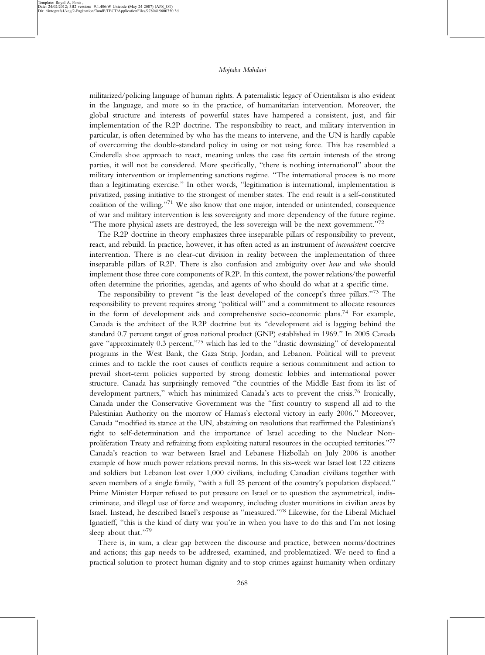Template: Royal A, Font: ,<br>Date: 24/02/2012; 3B2 version: 9.1.406/W Unicode (May 24 2007) (APS\_OT)<br>Dir: //integrafs1/kcg/2-Pagination/TandF/TECT/ApplicationFiles/9780415600750.3d

militarized/policing language of human rights. A paternalistic legacy of Orientalism is also evident in the language, and more so in the practice, of humanitarian intervention. Moreover, the global structure and interests of powerful states have hampered a consistent, just, and fair implementation of the R2P doctrine. The responsibility to react, and military intervention in particular, is often determined by who has the means to intervene, and the UN is hardly capable of overcoming the double-standard policy in using or not using force. This has resembled a Cinderella shoe approach to react, meaning unless the case fits certain interests of the strong parties, it will not be considered. More specifically, "there is nothing international" about the military intervention or implementing sanctions regime. "The international process is no more than a legitimating exercise." In other words, "legitimation is international, implementation is privatized, passing initiative to the strongest of member states. The end result is a self-constituted coalition of the willing."<sup>71</sup> We also know that one major, intended or unintended, consequence of war and military intervention is less sovereignty and more dependency of the future regime. "The more physical assets are destroyed, the less sovereign will be the next government."<sup>72</sup>

The R2P doctrine in theory emphasizes three inseparable pillars of responsibility to prevent, react, and rebuild. In practice, however, it has often acted as an instrument of inconsistent coercive intervention. There is no clear-cut division in reality between the implementation of three inseparable pillars of R2P. There is also confusion and ambiguity over how and who should implement those three core components of R2P. In this context, the power relations/the powerful often determine the priorities, agendas, and agents of who should do what at a specific time.

The responsibility to prevent "is the least developed of the concept's three pillars."<sup>73</sup> The responsibility to prevent requires strong "political will" and a commitment to allocate resources in the form of development aids and comprehensive socio-economic plans.<sup>74</sup> For example, Canada is the architect of the R2P doctrine but its "development aid is lagging behind the standard 0.7 percent target of gross national product (GNP) established in 1969." In 2005 Canada gave "approximately 0.3 percent,"<sup>75</sup> which has led to the "drastic downsizing" of developmental programs in the West Bank, the Gaza Strip, Jordan, and Lebanon. Political will to prevent crimes and to tackle the root causes of conflicts require a serious commitment and action to prevail short-term policies supported by strong domestic lobbies and international power structure. Canada has surprisingly removed "the countries of the Middle East from its list of development partners," which has minimized Canada's acts to prevent the crisis.<sup>76</sup> Ironically, Canada under the Conservative Government was the "first country to suspend all aid to the Palestinian Authority on the morrow of Hamas's electoral victory in early 2006." Moreover, Canada "modified its stance at the UN, abstaining on resolutions that reaffirmed the Palestinians's right to self-determination and the importance of Israel acceding to the Nuclear Nonproliferation Treaty and refraining from exploiting natural resources in the occupied territories."<sup>77</sup> Canada's reaction to war between Israel and Lebanese Hizbollah on July 2006 is another example of how much power relations prevail norms. In this six-week war Israel lost 122 citizens and soldiers but Lebanon lost over 1,000 civilians, including Canadian civilians together with seven members of a single family, "with a full 25 percent of the country's population displaced." Prime Minister Harper refused to put pressure on Israel or to question the asymmetrical, indiscriminate, and illegal use of force and weaponry, including cluster munitions in civilian areas by Israel. Instead, he described Israel's response as "measured."<sup>78</sup> Likewise, for the Liberal Michael Ignatieff, "this is the kind of dirty war you're in when you have to do this and I'm not losing sleep about that."79

There is, in sum, a clear gap between the discourse and practice, between norms/doctrines and actions; this gap needs to be addressed, examined, and problematized. We need to find a practical solution to protect human dignity and to stop crimes against humanity when ordinary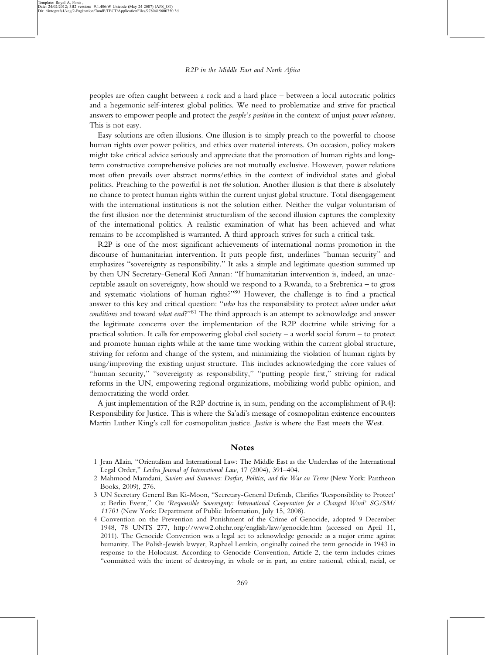plate: Royal A, Font: ,<br>: 24/02/2012; 3B2 vers

Date: 24/02/2012; 3B2 version: 9.1.406/W Unicode (May 24 2007) (APS\_OT) Dir: //integrafs1/kcg/2-Pagination/TandF/TECT/ApplicationFiles/9780415600750.3d

peoples are often caught between a rock and a hard place – between a local autocratic politics and a hegemonic self-interest global politics. We need to problematize and strive for practical answers to empower people and protect the people's position in the context of unjust power relations. This is not easy.

Easy solutions are often illusions. One illusion is to simply preach to the powerful to choose human rights over power politics, and ethics over material interests. On occasion, policy makers might take critical advice seriously and appreciate that the promotion of human rights and longterm constructive comprehensive policies are not mutually exclusive. However, power relations most often prevails over abstract norms/ethics in the context of individual states and global politics. Preaching to the powerful is not the solution. Another illusion is that there is absolutely no chance to protect human rights within the current unjust global structure. Total disengagement with the international institutions is not the solution either. Neither the vulgar voluntarism of the first illusion nor the determinist structuralism of the second illusion captures the complexity of the international politics. A realistic examination of what has been achieved and what remains to be accomplished is warranted. A third approach strives for such a critical task.

R2P is one of the most significant achievements of international norms promotion in the discourse of humanitarian intervention. It puts people first, underlines "human security" and emphasizes "sovereignty as responsibility." It asks a simple and legitimate question summed up by then UN Secretary-General Kofi Annan: "If humanitarian intervention is, indeed, an unacceptable assault on sovereignty, how should we respond to a Rwanda, to a Srebrenica – to gross and systematic violations of human rights?"<sup>80</sup> However, the challenge is to find a practical answer to this key and critical question: "who has the responsibility to protect whom under what conditions and toward what end?"<sup>81</sup> The third approach is an attempt to acknowledge and answer the legitimate concerns over the implementation of the R2P doctrine while striving for a practical solution. It calls for empowering global civil society – a world social forum – to protect and promote human rights while at the same time working within the current global structure, striving for reform and change of the system, and minimizing the violation of human rights by using/improving the existing unjust structure. This includes acknowledging the core values of "human security," "sovereignty as responsibility," "putting people first," striving for radical reforms in the UN, empowering regional organizations, mobilizing world public opinion, and democratizing the world order.

A just implementation of the R2P doctrine is, in sum, pending on the accomplishment of R4J: Responsibility for Justice. This is where the Sa'adi's message of cosmopolitan existence encounters Martin Luther King's call for cosmopolitan justice. *Justice* is where the East meets the West.

#### Notes

- 1 Jean Allain, "Orientalism and International Law: The Middle East as the Underclass of the International Legal Order," Leiden Journal of International Law, 17 (2004), 391–404.
- 2 Mahmood Mamdani, Saviors and Survivors: Darfur, Politics, and the War on Terror (New York: Pantheon Books, 2009), 276.
- 3 UN Secretary General Ban Ki-Moon, "Secretary-General Defends, Clarifies 'Responsibility to Protect' at Berlin Event," On 'Responsible Sovereignty: International Cooperation for a Changed Word' SG/SM/ 11701 (New York: Department of Public Information, July 15, 2008).
- 4 Convention on the Prevention and Punishment of the Crime of Genocide, adopted 9 December 1948, 78 UNTS 277, http://www2.ohchr.org/english/law/genocide.htm (accessed on April 11, 2011). The Genocide Convention was a legal act to acknowledge genocide as a major crime against humanity. The Polish-Jewish lawyer, Raphael Lemkin, originally coined the term genocide in 1943 in response to the Holocaust. According to Genocide Convention, Article 2, the term includes crimes "committed with the intent of destroying, in whole or in part, an entire national, ethical, racial, or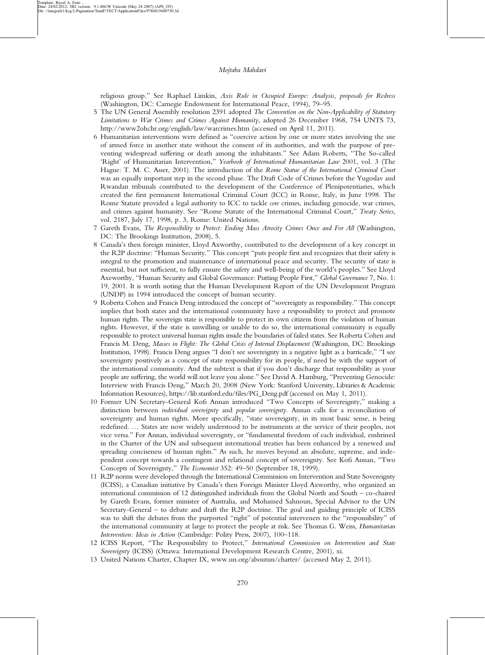religious group." See Raphael Limkin, Axis Rule in Occupied Europe: Analysis, proposals for Redress (Washington, DC: Carnegie Endowment for International Peace, 1994), 79–95.

- 5 The UN General Assembly resolution 2391 adopted The Convention on the Non-Applicability of Statutory Limitations to War Crimes and Crimes Against Humanity, adopted 26 December 1968, 754 UNTS 73, http://www2ohchr.org/english/law/warcrimes.htm (accessed on April 11, 2011).
- 6 Humanitarian interventions were defined as "coercive action by one or more states involving the use of armed force in another state without the consent of its authorities, and with the purpose of preventing widespread suffering or death among the inhabitants." See Adam Roberts, "The So-called 'Right' of Humanitarian Intervention," Yearbook of International Humanitarian Law 2001, vol. 3 (The Hague: T. M. C. Asser, 2001). The introduction of the Rome Statue of the International Criminal Court was an equally important step in the second phase. The Draft Code of Crimes before the Yugoslav and Rwandan tribunals contributed to the development of the Conference of Plenipotentiaries, which created the first permanent International Criminal Court (ICC) in Rome, Italy, in June 1998. The Rome Statute provided a legal authority to ICC to tackle *core* crimes, including genocide, war crimes, and crimes against humanity. See "Rome Statute of the International Criminal Court," Treaty Series, vol. 2187, July 17, 1998, p. 3, Rome: United Nations.
- 7 Gareth Evans, The Responsibility to Protect: Ending Mass Atrocity Crimes Once and For All (Washington, DC: The Brookings Institution, 2008), 5.
- 8 Canada's then foreign minister, Lloyd Axworthy, contributed to the development of a key concept in the R2P doctrine: "Human Security." This concept "puts people first and recognizes that their safety is integral to the promotion and maintenance of international peace and security. The security of state is essential, but not sufficient, to fully ensure the safety and well-being of the world's peoples." See Lloyd Axeworthy, "Human Security and Global Governance: Putting People First," Global Governance 7, No. 1: 19, 2001. It is worth noting that the Human Development Report of the UN Development Program (UNDP) in 1994 introduced the concept of human security.
- 9 Roberta Cohen and Francis Deng introduced the concept of "sovereignty as responsibility." This concept implies that both states and the international community have a responsibility to protect and promote human rights. The sovereign state is responsible to protect its own citizens from the violation of human rights. However, if the state is unwilling or unable to do so, the international community is equally responsible to protect universal human rights inside the boundaries of failed states. See Roberta Cohen and Francis M. Deng, Masses in Flight: The Global Crisis of Internal Displacement (Washington, DC: Brookings Institution, 1998). Francis Deng argues "I don't see sovereignty in a negative light as a barricade," "I see sovereignty positively as a concept of state responsibility for its people, if need be with the support of the international community. And the subtext is that if you don't discharge that responsibility as your people are suffering, the world will not leave you alone." See David A. Hamburg, "Preventing Genocide: Interview with Francis Deng," March 20, 2008 (New York: Stanford University, Libraries & Academic Information Resources), https://lib.stanford.edu/files/PG\_Deng.pdf (accessed on May 1, 2011).
- 10 Former UN Secretary-General Kofi Annan introduced "Two Concepts of Sovereignty," making a distinction between individual sovereignty and popular sovereignty. Annan calls for a reconciliation of sovereignty and human rights. More specifically, "state sovereignty, in its most basic sense, is being redefined. … States are now widely understood to be instruments at the service of their peoples, not vice versa." For Annan, individual sovereignty, or "fundamental freedom of each individual, enshrined in the Charter of the UN and subsequent international treaties has been enhanced by a renewed and spreading conciseness of human rights." As such, he moves beyond an absolute, supreme, and independent concept towards a contingent and relational concept of sovereignty. See Kofi Annan, "Two Concepts of Sovereignty," The Economist 352: 49–50 (September 18, 1999).
- 11 R2P norms were developed through the International Commission on Intervention and State Sovereignty (ICISS), a Canadian initiative by Canada's then Foreign Minister Lloyd Axworthy, who organized an international commission of 12 distinguished individuals from the Global North and South – co-chaired by Gareth Evans, former minister of Australia, and Mohamed Sahnoun, Special Advisor to the UN Secretary-General – to debate and draft the R2P doctrine. The goal and guiding principle of ICISS was to shift the debates from the purported "right" of potential interveners to the "responsibility" of the international community at large to protect the people at risk. See Thomas G. Weiss, Humanitarian Intervention: Ideas in Action (Cambridge: Polity Press, 2007), 100–118.
- 12 ICISS Report, "The Responsibility to Protect," International Commission on Intervention and State Sovereignty (ICISS) (Ottawa: International Development Research Centre, 2001), xi.
- 13 United Nations Charter, Chapter IX, www.un.org/aboutun/charter/ (accessed May 2, 2011).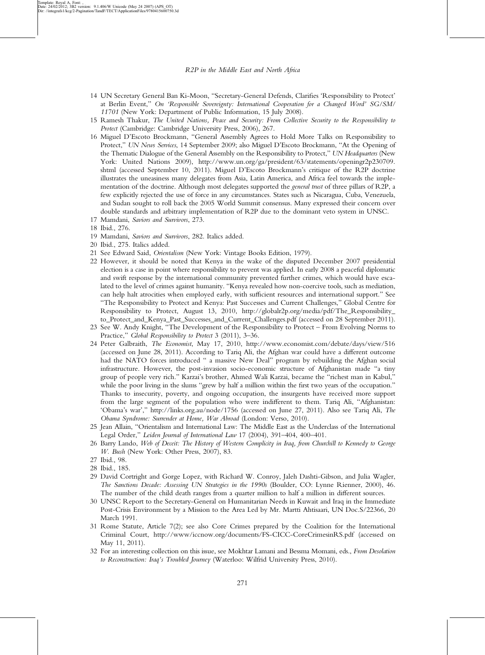- 14 UN Secretary General Ban Ki-Moon, "Secretary-General Defends, Clarifies 'Responsibility to Protect' at Berlin Event," On 'Responsible Sovereignty: International Cooperation for a Changed Word' SG/SM/ 11701 (New York: Department of Public Information, 15 July 2008).
- 15 Ramesh Thakur, The United Nations, Peace and Security: From Collective Security to the Responsibility to Protect (Cambridge: Cambridge University Press, 2006), 267.
- 16 Miguel D'Escoto Brockmann, "General Assembly Agrees to Hold More Talks on Responsibility to Protect," UN News Services, 14 September 2009; also Miguel D'Escoto Brockmann, "At the Opening of the Thematic Dialogue of the General Assembly on the Responsibility to Protect," UN Headquarters (New York: United Nations 2009), http://www.un.org/ga/president/63/statements/openingr2p230709. shtml (accessed September 10, 2011). Miguel D'Escoto Brockmann's critique of the R2P doctrine illustrates the uneasiness many delegates from Asia, Latin America, and Africa feel towards the implementation of the doctrine. Although most delegates supported the *general trust* of three pillars of R2P, a few explicitly rejected the use of force in any circumstances. States such as Nicaragua, Cuba, Venezuela, and Sudan sought to roll back the 2005 World Summit consensus. Many expressed their concern over double standards and arbitrary implementation of R2P due to the dominant veto system in UNSC.
- 17 Mamdani, Saviors and Survivors, 273.
- 18 Ibid., 276.

nplate: Royal A, Font: ,<br>e: 24/02/2012; 3B2 ver.

Date: 24/02/2012; 3B2 version: 9.1.406/W Unicode (May 24 2007) (APS\_OT) Dir: //integrafs1/kcg/2-Pagination/TandF/TECT/ApplicationFiles/9780415600750.3d

- 19 Mamdani, Saviors and Survivors, 282. Italics added.
- 20 Ibid., 275. Italics added.
- 21 See Edward Said, Orientalism (New York: Vintage Books Edition, 1979).
- 22 However, it should be noted that Kenya in the wake of the disputed December 2007 presidential election is a case in point where responsibility to prevent was applied. In early 2008 a peaceful diplomatic and swift response by the international community prevented further crimes, which would have escalated to the level of crimes against humanity. "Kenya revealed how non-coercive tools, such as mediation, can help halt atrocities when employed early, with sufficient resources and international support." See "The Responsibility to Protect and Kenya: Past Successes and Current Challenges," Global Centre for Responsibility to Protect, August 13, 2010, http://globalr2p.org/media/pdf/The\_Responsibility\_ to\_Protect\_and\_Kenya\_Past\_Successes\_and\_Current\_Challenges.pdf (accessed on 28 September 2011).
- 23 See W. Andy Knight, "The Development of the Responsibility to Protect From Evolving Norms to Practice," Global Responsibility to Protect 3 (2011), 3–36.
- 24 Peter Galbraith, The Economist, May 17, 2010, http://www.economist.com/debate/days/view/516 (accessed on June 28, 2011). According to Tariq Ali, the Afghan war could have a different outcome had the NATO forces introduced " a massive New Deal" program by rebuilding the Afghan social infrastructure. However, the post-invasion socio-economic structure of Afghanistan made "a tiny group of people very rich." Karzai's brother, Ahmed Wali Karzai, became the "richest man in Kabul," while the poor living in the slums "grew by half a million within the first two years of the occupation." Thanks to insecurity, poverty, and ongoing occupation, the insurgents have received more support from the large segment of the population who were indifferent to them. Tariq Ali, "Afghanistan: 'Obama's war'," http://links.org.au/node/1756 (accessed on June 27, 2011). Also see Tariq Ali, The Obama Syndrome: Surrender at Home, War Abroad (London: Verso, 2010).
- 25 Jean Allain, "Orientalism and International Law: The Middle East as the Underclass of the International Legal Order," Leiden Journal of International Law 17 (2004), 391–404, 400–401.
- 26 Barry Lando, Web of Deceit: The History of Western Complicity in Iraq, from Churchill to Kennedy to George W. Bush (New York: Other Press, 2007), 83.
- 27 Ibid., 98.
- 28 Ibid., 185.
- 29 David Cortright and Gorge Lopez, with Richard W. Conroy, Jaleh Dashti-Gibson, and Julia Wagler, The Sanctions Decade: Assessing UN Strategies in the 1990s (Boulder, CO: Lynne Rienner, 2000), 46. The number of the child death ranges from a quarter million to half a million in different sources.
- 30 UNSC Report to the Secretary-General on Humanitarian Needs in Kuwait and Iraq in the Immediate Post-Crisis Environment by a Mission to the Area Led by Mr. Martti Ahtisaari, UN Doc.S/22366, 20 March 1991.
- 31 Rome Statute, Article 7(2); see also Core Crimes prepared by the Coalition for the International Criminal Court, http://www/iccnow.org/documents/FS-CICC-CoreCrimesinRS.pdf (accessed on May 11, 2011).
- 32 For an interesting collection on this issue, see Mokhtar Lamani and Bessma Momani, eds., From Desolation to Reconstruction: Iraq's Troubled Journey (Waterloo: Wilfrid University Press, 2010).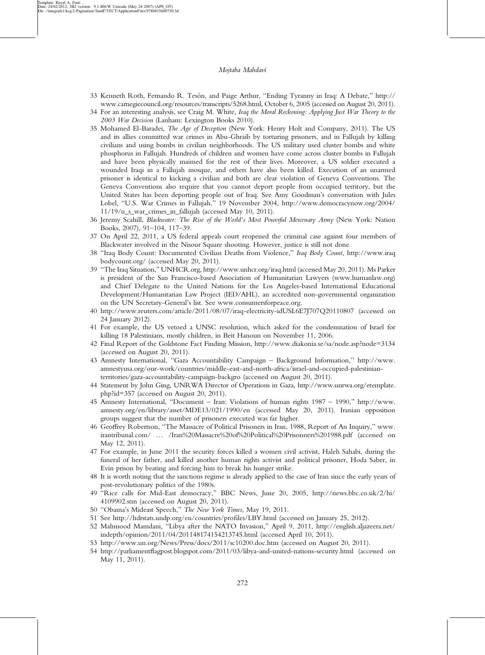plate: Royal A, Font:<br>: 24/02/2012; 3B2 ver

Date: 24/02/2012; 3B2 version: 9.1.406/W Unicode (May 24 2007) (APS\_OT) Dir: //integrafs1/kcg/2-Pagination/TandF/TECT/ApplicationFiles/9780415600750.3d

- 33 Kenneth Roth, Fernando R. Tesón, and Paige Arthur, "Ending Tyranny in Iraq: A Debate," http:// www.carnegiecouncil.org/resources/transcripts/5268.html, October 6, 2005 (accessed on August 20, 2011).
- 34 For an interesting analysis, see Craig M. White, Iraq the Moral Reckoning: Applying Just War Theory to the 2003 War Decision (Lanham: Lexington Books 2010).
- 35 Mohamed El-Baradei, *The Age of Deception* (New York: Henry Holt and Company, 2011). The US and its allies committed war crimes in Abu-Ghraib by torturing prisoners, and in Fallujah by killing civilians and using bombs in civilian neighborhoods. The US military used cluster bombs and white phosphorus in Fallujah. Hundreds of children and women have come across cluster bombs in Fallujah and have been physically maimed for the rest of their lives. Moreover, a US soldier executed a wounded Iraqi in a Fallujah mosque, and others have also been killed. Execution of an unarmed prisoner is identical to kicking a civilian and both are clear violation of Geneva Conventions. The Geneva Conventions also require that you cannot deport people from occupied territory, but the United States has been deporting people out of Iraq. See Amy Goodman's conversation with Jules Lobel, "U.S. War Crimes in Fallujah," 19 November 2004, http://www.democracynow.org/2004/ 11/19/u\_s\_war\_crimes\_in\_fallujah (accessed May 10, 2011).
- 36 Jeremy Scahill, Blackwater: The Rise of the World's Most Powerful Mercenary Army (New York: Nation Books, 2007), 91–104, 117–39.
- 37 On April 22, 2011, a US federal appeals court reopened the criminal case against four members of Blackwater involved in the Nisour Square shooting. However, justice is still not done.
- 38 "Iraq Body Count: Documented Civilian Deaths from Violence," Iraq Body Count, http://www.iraq bodycount.org/ (accessed May 20, 2011).
- 39 "The Iraq Situation," UNHCR.org, http://www.unhcr.org/iraq.html (accessed May 20, 2011). Ms Parker is president of the San Francisco-based Association of Humanitarian Lawyers (www.humanlaw.org) and Chief Delegate to the United Nations for the Los Angeles-based International Educational Development/Humanitarian Law Project (IED/AHL), an accredited non-governmental organization on the UN Secretary-General's list. See www.consumersforpeace.org.
- 40 http://www.reuters.com/article/2011/08/07/iraq-electricity-idUSL6E7J707Q20110807 (accessed on 24 January 2012).
- 41 For example, the US vetoed a UNSC resolution, which asked for the condemnation of Israel for killing 18 Palestinians, mostly children, in Beit Hanoun on November 11, 2006.
- 42 Final Report of the Goldstone Fact Finding Mission, http://www.diakonia.se/sa/node.asp?node=3134 (accessed on August 20, 2011).
- 43 Amnesty International, "Gaza Accountability Campaign Background Information," http://www. amnestyusa.org/our-work/countries/middle-east-and-north-africa/israel-and-occupied-palestinianterritories/gaza-accountability-campaign-backgro (accessed on August 20, 2011).
- 44 Statement by John Ging, UNRWA Director of Operations in Gaza, http://www.unrwa.org/etemplate. php?id=357 (accessed on August 20, 2011).
- 45 Amnesty International, "Document Iran: Violations of human rights 1987 1990," http://www. amnesty.org/en/library/asset/MDE13/021/1990/en (accessed May 20, 2011). Iranian opposition groups suggest that the number of prisoners executed was far higher.
- 46 Geoffrey Robertson, "The Massacre of Political Prisoners in Iran, 1988, Report of An Inquiry," www. irantribunal.com/ … /Iran%20Massacre%20of%20Political%20Prisonners%201988.pdf (accessed on May 12, 2011).
- 47 For example, in June 2011 the security forces killed a women civil activist, Haleh Sahabi, during the funeral of her father, and killed another human rights activist and political prisoner, Hoda Saber, in Evin prison by beating and forcing him to break his hunger strike.
- 48 It is worth noting that the sanctions regime is already applied to the case of Iran since the early years of post-revolutionary politics of the 1980s.
- 49 "Rice calls for Mid-East democracy," BBC News, June 20, 2005, http://news.bbc.co.uk/2/hi/ 4109902.stm (accessed on August 20, 2011).
- 50 "Obama's Mideast Speech," The New York Times, May 19, 2011.
- 51 See http://hdrstats.undp.org/en/countries/profiles/LBY.html (accessed on January 25, 2012).
- 52 Mahmood Mamdani, "Libya after the NATO Invasion," April 9, 2011, http://english.aljazeera.net/ indepth/opinion/2011/04/201148174154213745.html (accessed April 10, 2011).
- 53 http://www.un.org/News/Press/docs/2011/sc10200.doc.htm (accessed on August 20, 2011).
- 54 http://parliamentflagpost.blogspot.com/2011/03/libya-and-united-nations-security.html (accessed on May 11, 2011).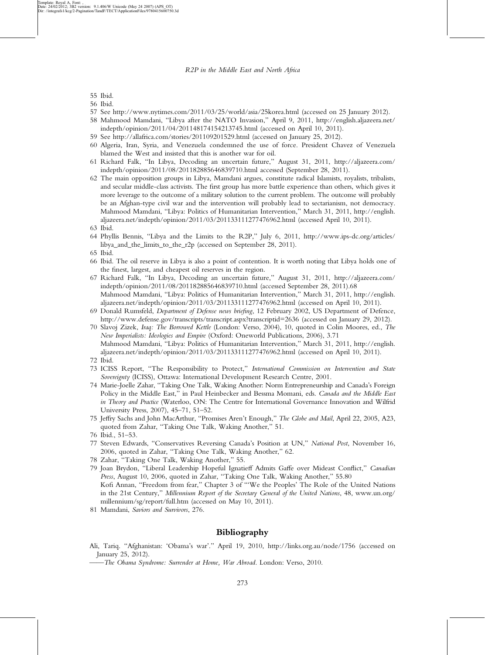55 Ibid.

- 56 Ibid.
- 57 See http://www.nytimes.com/2011/03/25/world/asia/25korea.html (accessed on 25 January 2012).
- 58 Mahmood Mamdani, "Libya after the NATO Invasion," April 9, 2011, http://english.aljazeera.net/ indepth/opinion/2011/04/201148174154213745.html (accessed on April 10, 2011).
- 59 See http://allafrica.com/stories/201109201529.html (accessed on January 25, 2012).
- 60 Algeria, Iran, Syria, and Venezuela condemned the use of force. President Chavez of Venezuela blamed the West and insisted that this is another war for oil.
- 61 Richard Falk, "In Libya, Decoding an uncertain future," August 31, 2011, http://aljazeera.com/ indepth/opinion/2011/08/201182885646839710.html accessed (September 28, 2011).
- 62 The main opposition groups in Libya, Mamdani argues, constitute radical Islamists, royalists, tribalists, and secular middle-class activists. The first group has more battle experience than others, which gives it more leverage to the outcome of a military solution to the current problem. The outcome will probably be an Afghan-type civil war and the intervention will probably lead to sectarianism, not democracy. Mahmood Mamdani, "Libya: Politics of Humanitarian Intervention," March 31, 2011, http://english. aljazeera.net/indepth/opinion/2011/03/201133111277476962.html (accessed April 10, 2011).
- 63 Ibid.
- 64 Phyllis Bennis, "Libya and the Limits to the R2P," July 6, 2011, http://www.ips-dc.org/articles/ libya\_and\_the\_limits\_to\_the\_r2p (accessed on September 28, 2011).
- 65 Ibid.
- 66 Ibid. The oil reserve in Libya is also a point of contention. It is worth noting that Libya holds one of the finest, largest, and cheapest oil reserves in the region.
- 67 Richard Falk, "In Libya, Decoding an uncertain future," August 31, 2011, http://aljazeera.com/ indepth/opinion/2011/08/201182885646839710.html (accessed September 28, 2011).68 Mahmood Mamdani, "Libya: Politics of Humanitarian Intervention," March 31, 2011, http://english. aljazeera.net/indepth/opinion/2011/03/201133111277476962.html (accessed on April 10, 2011).
- 69 Donald Rumsfeld, Department of Defense news briefing, 12 February 2002, US Department of Defence, http://www.defense.gov/transcripts/transcript.aspx?transcriptid=2636 (accessed on January 29, 2012).
- 70 Slavoj Zizek, Iraq: The Borrowed Kettle (London: Verso, 2004), 10, quoted in Colin Moores, ed., The New Imperialists: Ideologies and Empire (Oxford: Oneworld Publications, 2006), 3.71 Mahmood Mamdani, "Libya: Politics of Humanitarian Intervention," March 31, 2011, http://english. aljazeera.net/indepth/opinion/2011/03/201133111277476962.html (accessed on April 10, 2011).
- 72 Ibid.
- 73 ICISS Report, "The Responsibility to Protect," International Commission on Intervention and State Sovereignty (ICISS), Ottawa: International Development Research Centre, 2001.
- 74 Marie-Joelle Zahar, "Taking One Talk, Waking Another: Norm Entrepreneurship and Canada's Foreign Policy in the Middle East," in Paul Heinbecker and Bessma Momani, eds. Canada and the Middle East in Theory and Practice (Waterloo, ON: The Centre for International Governance Innovation and Wilfrid University Press, 2007), 45–71, 51–52.
- 75 Jeffry Sachs and John MacArthur, "Promises Aren't Enough," The Globe and Mail, April 22, 2005, A23, quoted from Zahar, "Taking One Talk, Waking Another," 51.

- 77 Steven Edwards, "Conservatives Reversing Canada's Position at UN," National Post, November 16, 2006, quoted in Zahar, "Taking One Talk, Waking Another," 62.
- 78 Zahar, "Taking One Talk, Waking Another," 55.
- 79 Joan Brydon, "Liberal Leadership Hopeful Ignatieff Admits Gaffe over Mideast Conflict," Canadian Press, August 10, 2006, quoted in Zahar, "Taking One Talk, Waking Another," 55.80 Kofi Annan, "Freedom from fear," Chapter 3 of "'We the Peoples' The Role of the United Nations in the 21st Century," Millennium Report of the Secretary General of the United Nations, 48, www.un.org/ millennium/sg/report/full.htm (accessed on May 10, 2011).
- 81 Mamdani, Saviors and Survivors, 276.

## Bibliography

Ali, Tariq. "Afghanistan: 'Obama's war'." April 19, 2010, http://links.org.au/node/1756 (accessed on January 25, 2012).

——The Obama Syndrome: Surrender at Home, War Abroad. London: Verso, 2010.

<sup>76</sup> Ibid., 51–53.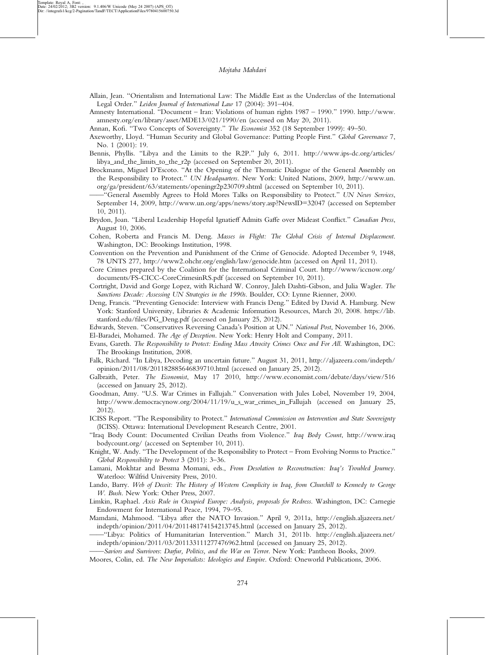- Allain, Jean. "Orientalism and International Law: The Middle East as the Underclass of the International Legal Order." Leiden Journal of International Law 17 (2004): 391–404.
- Amnesty International. "Document Iran: Violations of human rights 1987 1990." 1990. http://www. amnesty.org/en/library/asset/MDE13/021/1990/en (accessed on May 20, 2011).
- Annan, Kofi. "Two Concepts of Sovereignty." The Economist 352 (18 September 1999): 49–50.
- Axeworthy, Lloyd. "Human Security and Global Governance: Putting People First." Global Governance 7, No. 1 (2001): 19.
- Bennis, Phyllis. "Libya and the Limits to the R2P." July 6, 2011. http://www.ips-dc.org/articles/ libya\_and\_the\_limits\_to\_the\_r2p (accessed on September 20, 2011).
- Brockmann, Miguel D'Escoto. "At the Opening of the Thematic Dialogue of the General Assembly on the Responsibility to Protect." UN Headquarters. New York: United Nations, 2009, http://www.un. org/ga/president/63/statements/openingr2p230709.shtml (accessed on September 10, 2011).
- "General Assembly Agrees to Hold Mores Talks on Responsibility to Protect." UN News Services, September 14, 2009, http://www.un.org/apps/news/story.asp?NewsID=32047 (accessed on September 10, 2011).
- Brydon, Joan. "Liberal Leadership Hopeful Ignatieff Admits Gaffe over Mideast Conflict." Canadian Press, August 10, 2006.
- Cohen, Roberta and Francis M. Deng. Masses in Flight: The Global Crisis of Internal Displacement. Washington, DC: Brookings Institution, 1998.
- Convention on the Prevention and Punishment of the Crime of Genocide. Adopted December 9, 1948, 78 UNTS 277, http://www2.ohchr.org/english/law/genocide.htm (accessed on April 11, 2011).
- Core Crimes prepared by the Coalition for the International Criminal Court. http://www/iccnow.org/ documents/FS-CICC-CoreCrimesinRS.pdf (accessed on September 10, 2011).
- Cortright, David and Gorge Lopez, with Richard W. Conroy, Jaleh Dashti-Gibson, and Julia Wagler. The Sanctions Decade: Assessing UN Strategies in the 1990s. Boulder, CO: Lynne Rienner, 2000.
- Deng, Francis. "Preventing Genocide: Interview with Francis Deng." Edited by David A. Hamburg. New York: Stanford University, Libraries & Academic Information Resources, March 20, 2008. https://lib. stanford.edu/files/PG\_Deng.pdf (accessed on January 25, 2012).
- Edwards, Steven. "Conservatives Reversing Canada's Position at UN." National Post, November 16, 2006. El-Baradei, Mohamed. The Age of Deception. New York: Henry Holt and Company, 2011.
- Evans, Gareth. The Responsibility to Protect: Ending Mass Atrocity Crimes Once and For All. Washington, DC: The Brookings Institution, 2008.
- Falk, Richard. "In Libya, Decoding an uncertain future." August 31, 2011, http://aljazeera.com/indepth/ opinion/2011/08/201182885646839710.html (accessed on January 25, 2012).
- Galbraith, Peter. The Economist, May 17 2010, http://www.economist.com/debate/days/view/516 (accessed on January 25, 2012).
- Goodman, Amy. "U.S. War Crimes in Fallujah." Conversation with Jules Lobel, November 19, 2004, http://www.democracynow.org/2004/11/19/u\_s\_war\_crimes\_in\_Fallujah (accessed on January 25, 2012).
- ICISS Report. "The Responsibility to Protect." International Commission on Intervention and State Sovereignty (ICISS). Ottawa: International Development Research Centre, 2001.
- "Iraq Body Count: Documented Civilian Deaths from Violence." Iraq Body Count, http://www.iraq bodycount.org/ (accessed on September 10, 2011).
- Knight, W. Andy. "The Development of the Responsibility to Protect From Evolving Norms to Practice." Global Responsibility to Protect 3 (2011): 3–36.
- Lamani, Mokhtar and Bessma Momani, eds., From Desolation to Reconstruction: Iraq's Troubled Journey. Waterloo: Wilfrid University Press, 2010.
- Lando, Barry. Web of Deceit: The History of Western Complicity in Iraq, from Churchill to Kennedy to George W. Bush. New York: Other Press, 2007.
- Limkin, Raphael. Axis Rule in Occupied Europe: Analysis, proposals for Redress. Washington, DC: Carnegie Endowment for International Peace, 1994, 79–95.
- Mamdani, Mahmood. "Libya after the NATO Invasion." April 9, 2011a, http://english.aljazeera.net/ indepth/opinion/2011/04/201148174154213745.html (accessed on January 25, 2012).
- ——"Libya: Politics of Humanitarian Intervention." March 31, 2011b. http://english.aljazeera.net/ indepth/opinion/2011/03/201133111277476962.html (accessed on January 25, 2012).

——Saviors and Survivors: Darfur, Politics, and the War on Terror. New York: Pantheon Books, 2009.

Moores, Colin, ed. The New Imperialists: Ideologies and Empire. Oxford: Oneworld Publications, 2006.